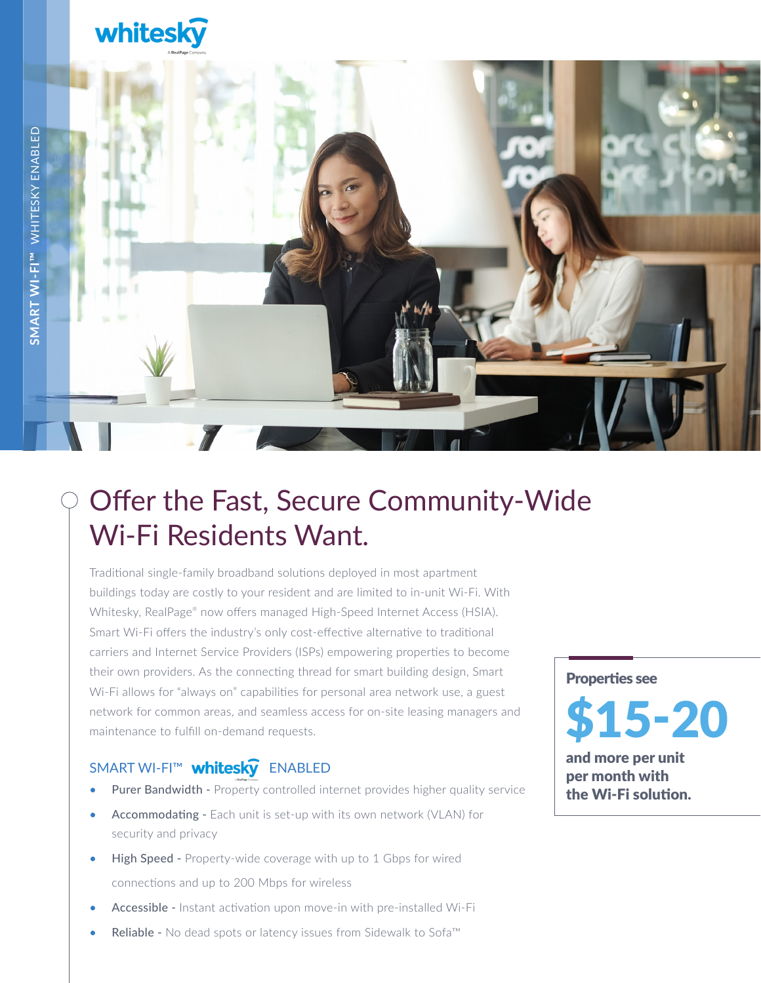## whitesky



### Offer the Fast, Secure Community-Wide Wi-Fi Residents Want.

Traditional single-family broadband solutions deployed in most apartment buildings today are costly to your resident and are limited to in-unit Wi-Fi. With Whitesky, RealPage® now offers managed High-Speed Internet Access (HSIA). Smart Wi-Fi offers the industry's only cost-effective alternative to traditional carriers and Internet Service Providers (ISPs) empowering properties to become their own providers. As the connecting thread for smart building design, Smart Wi-Fi allows for "always on" capabilities for personal area network use, a guest network for common areas, and seamless access for on-site leasing managers and maintenance to fulfill on-demand requests.

#### SMART WI-FI™ **whitesky** ENABLED

- Purer Bandwidth Property controlled internet provides higher quality service
- Accommodating Each unit is set-up with its own network (VLAN) for security and privacy
- **High Speed -** Property-wide coverage with up to 1 Gbps for wired connections and up to 200 Mbps for wireless
- Accessible Instant activation upon move-in with pre-installed Wi-Fi
- Reliable No dead spots or latency issues from Sidewalk to Sofa™

Properties see

# \$15-20

and more per unit per month with the Wi-Fi solution.